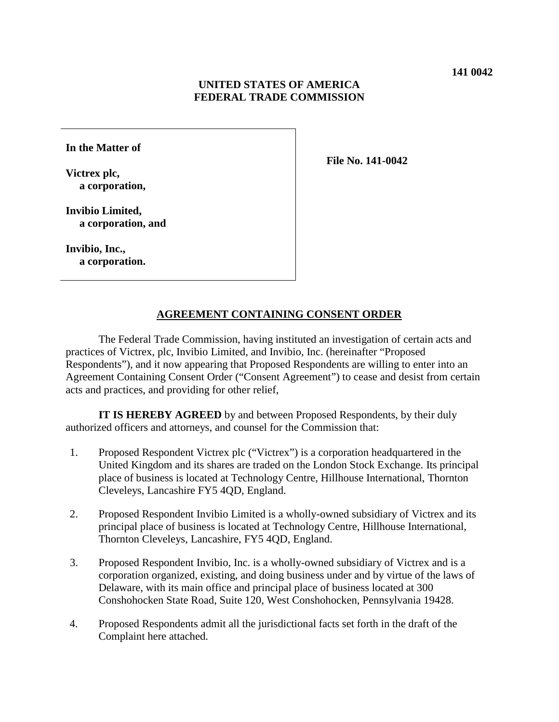### **UNITED STATES OF AMERICA FEDERAL TRADE COMMISSION**

**In the Matter of**

**Victrex plc, a corporation,** **File No. 141-0042**

**Invibio Limited, a corporation, and**

**Invibio, Inc., a corporation.**

#### **AGREEMENT CONTAINING CONSENT ORDER**

The Federal Trade Commission, having instituted an investigation of certain acts and practices of Victrex, plc, Invibio Limited, and Invibio, Inc. (hereinafter "Proposed Respondents"), and it now appearing that Proposed Respondents are willing to enter into an Agreement Containing Consent Order ("Consent Agreement") to cease and desist from certain acts and practices, and providing for other relief,

**IT IS HEREBY AGREED** by and between Proposed Respondents, by their duly authorized officers and attorneys, and counsel for the Commission that:

- 1. Proposed Respondent Victrex plc ("Victrex") is a corporation headquartered in the United Kingdom and its shares are traded on the London Stock Exchange. Its principal place of business is located at Technology Centre, Hillhouse International, Thornton Cleveleys, Lancashire FY5 4QD, England.
- 2. Proposed Respondent Invibio Limited is a wholly-owned subsidiary of Victrex and its principal place of business is located at Technology Centre, Hillhouse International, Thornton Cleveleys, Lancashire, FY5 4QD, England.
- 3. Proposed Respondent Invibio, Inc. is a wholly-owned subsidiary of Victrex and is a corporation organized, existing, and doing business under and by virtue of the laws of Delaware, with its main office and principal place of business located at 300 Conshohocken State Road, Suite 120, West Conshohocken, Pennsylvania 19428.
- 4. Proposed Respondents admit all the jurisdictional facts set forth in the draft of the Complaint here attached.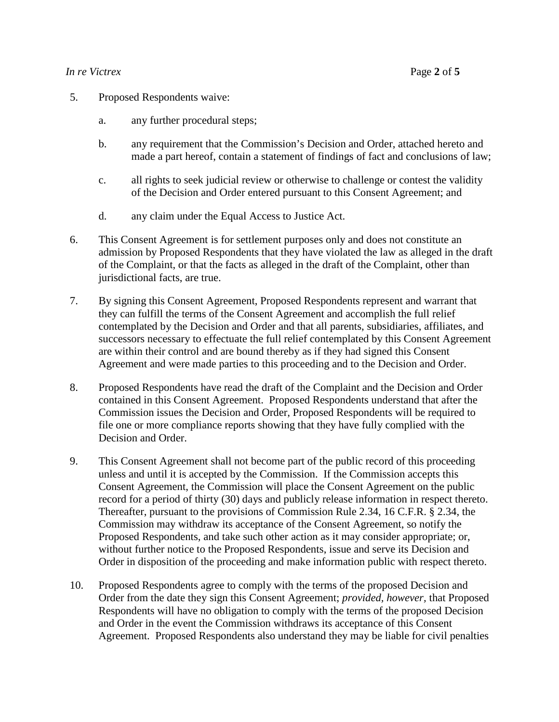#### *In re Victrex* Page **2** of **5**

- 5. Proposed Respondents waive:
	- a. any further procedural steps;
	- b. any requirement that the Commission's Decision and Order, attached hereto and made a part hereof, contain a statement of findings of fact and conclusions of law;
	- c. all rights to seek judicial review or otherwise to challenge or contest the validity of the Decision and Order entered pursuant to this Consent Agreement; and
	- d. any claim under the Equal Access to Justice Act.
- 6. This Consent Agreement is for settlement purposes only and does not constitute an admission by Proposed Respondents that they have violated the law as alleged in the draft of the Complaint, or that the facts as alleged in the draft of the Complaint, other than jurisdictional facts, are true.
- 7. By signing this Consent Agreement, Proposed Respondents represent and warrant that they can fulfill the terms of the Consent Agreement and accomplish the full relief contemplated by the Decision and Order and that all parents, subsidiaries, affiliates, and successors necessary to effectuate the full relief contemplated by this Consent Agreement are within their control and are bound thereby as if they had signed this Consent Agreement and were made parties to this proceeding and to the Decision and Order.
- 8. Proposed Respondents have read the draft of the Complaint and the Decision and Order contained in this Consent Agreement. Proposed Respondents understand that after the Commission issues the Decision and Order, Proposed Respondents will be required to file one or more compliance reports showing that they have fully complied with the Decision and Order.
- 9. This Consent Agreement shall not become part of the public record of this proceeding unless and until it is accepted by the Commission. If the Commission accepts this Consent Agreement, the Commission will place the Consent Agreement on the public record for a period of thirty (30) days and publicly release information in respect thereto. Thereafter, pursuant to the provisions of Commission Rule 2.34, 16 C.F.R. § 2.34, the Commission may withdraw its acceptance of the Consent Agreement, so notify the Proposed Respondents, and take such other action as it may consider appropriate; or, without further notice to the Proposed Respondents, issue and serve its Decision and Order in disposition of the proceeding and make information public with respect thereto.
- 10. Proposed Respondents agree to comply with the terms of the proposed Decision and Order from the date they sign this Consent Agreement; *provided, however,* that Proposed Respondents will have no obligation to comply with the terms of the proposed Decision and Order in the event the Commission withdraws its acceptance of this Consent Agreement. Proposed Respondents also understand they may be liable for civil penalties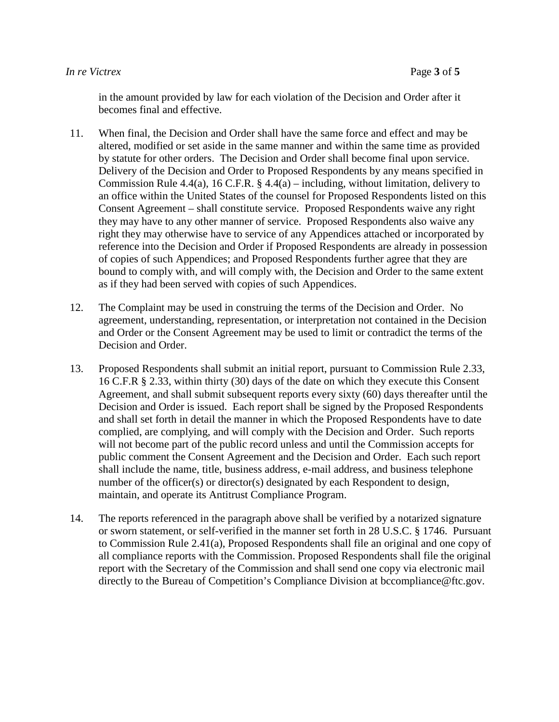in the amount provided by law for each violation of the Decision and Order after it becomes final and effective.

- 11. When final, the Decision and Order shall have the same force and effect and may be altered, modified or set aside in the same manner and within the same time as provided by statute for other orders. The Decision and Order shall become final upon service. Delivery of the Decision and Order to Proposed Respondents by any means specified in Commission Rule 4.4(a), 16 C.F.R. § 4.4(a) – including, without limitation, delivery to an office within the United States of the counsel for Proposed Respondents listed on this Consent Agreement – shall constitute service. Proposed Respondents waive any right they may have to any other manner of service. Proposed Respondents also waive any right they may otherwise have to service of any Appendices attached or incorporated by reference into the Decision and Order if Proposed Respondents are already in possession of copies of such Appendices; and Proposed Respondents further agree that they are bound to comply with, and will comply with, the Decision and Order to the same extent as if they had been served with copies of such Appendices.
- 12. The Complaint may be used in construing the terms of the Decision and Order. No agreement, understanding, representation, or interpretation not contained in the Decision and Order or the Consent Agreement may be used to limit or contradict the terms of the Decision and Order.
- 13. Proposed Respondents shall submit an initial report, pursuant to Commission Rule 2.33, 16 C.F.R § 2.33, within thirty (30) days of the date on which they execute this Consent Agreement, and shall submit subsequent reports every sixty (60) days thereafter until the Decision and Order is issued. Each report shall be signed by the Proposed Respondents and shall set forth in detail the manner in which the Proposed Respondents have to date complied, are complying, and will comply with the Decision and Order. Such reports will not become part of the public record unless and until the Commission accepts for public comment the Consent Agreement and the Decision and Order. Each such report shall include the name, title, business address, e-mail address, and business telephone number of the officer(s) or director(s) designated by each Respondent to design, maintain, and operate its Antitrust Compliance Program.
- 14. The reports referenced in the paragraph above shall be verified by a notarized signature or sworn statement, or self-verified in the manner set forth in 28 U.S.C. § 1746. Pursuant to Commission Rule 2.41(a), Proposed Respondents shall file an original and one copy of all compliance reports with the Commission. Proposed Respondents shall file the original report with the Secretary of the Commission and shall send one copy via electronic mail directly to the Bureau of Competition's Compliance Division at bccompliance@ftc.gov.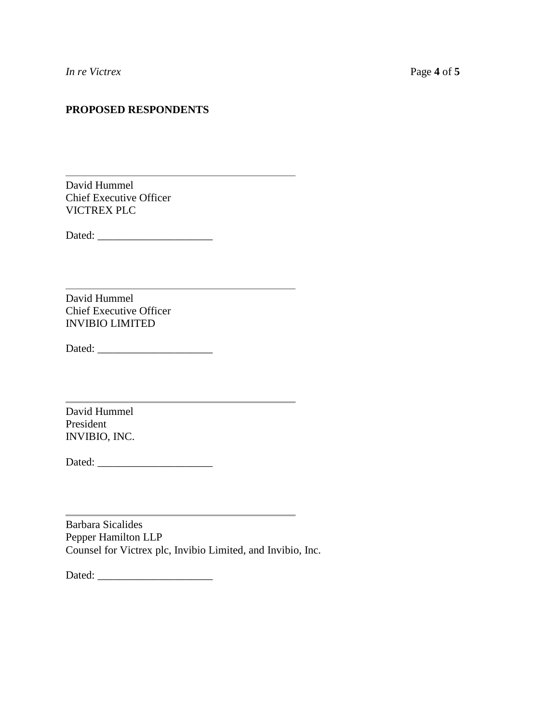# **PROPOSED RESPONDENTS**

<u> 1989 - Johann Stein, mars an de Brasilia (b. 1989)</u>

David Hummel Chief Executive Officer VICTREX PLC

Dated: \_\_\_\_\_\_\_\_\_\_\_\_\_\_\_\_\_\_\_\_\_

David Hummel Chief Executive Officer INVIBIO LIMITED

Dated: \_\_\_\_\_\_\_\_\_\_\_\_\_\_\_\_\_\_\_\_\_

David Hummel President INVIBIO, INC.

Dated: \_\_\_\_\_\_\_\_\_\_\_\_\_\_\_\_\_\_\_\_\_

Barbara Sicalides Pepper Hamilton LLP Counsel for Victrex plc, Invibio Limited, and Invibio, Inc.

the control of the control of the control of

Dated: \_\_\_\_\_\_\_\_\_\_\_\_\_\_\_\_\_\_\_\_\_